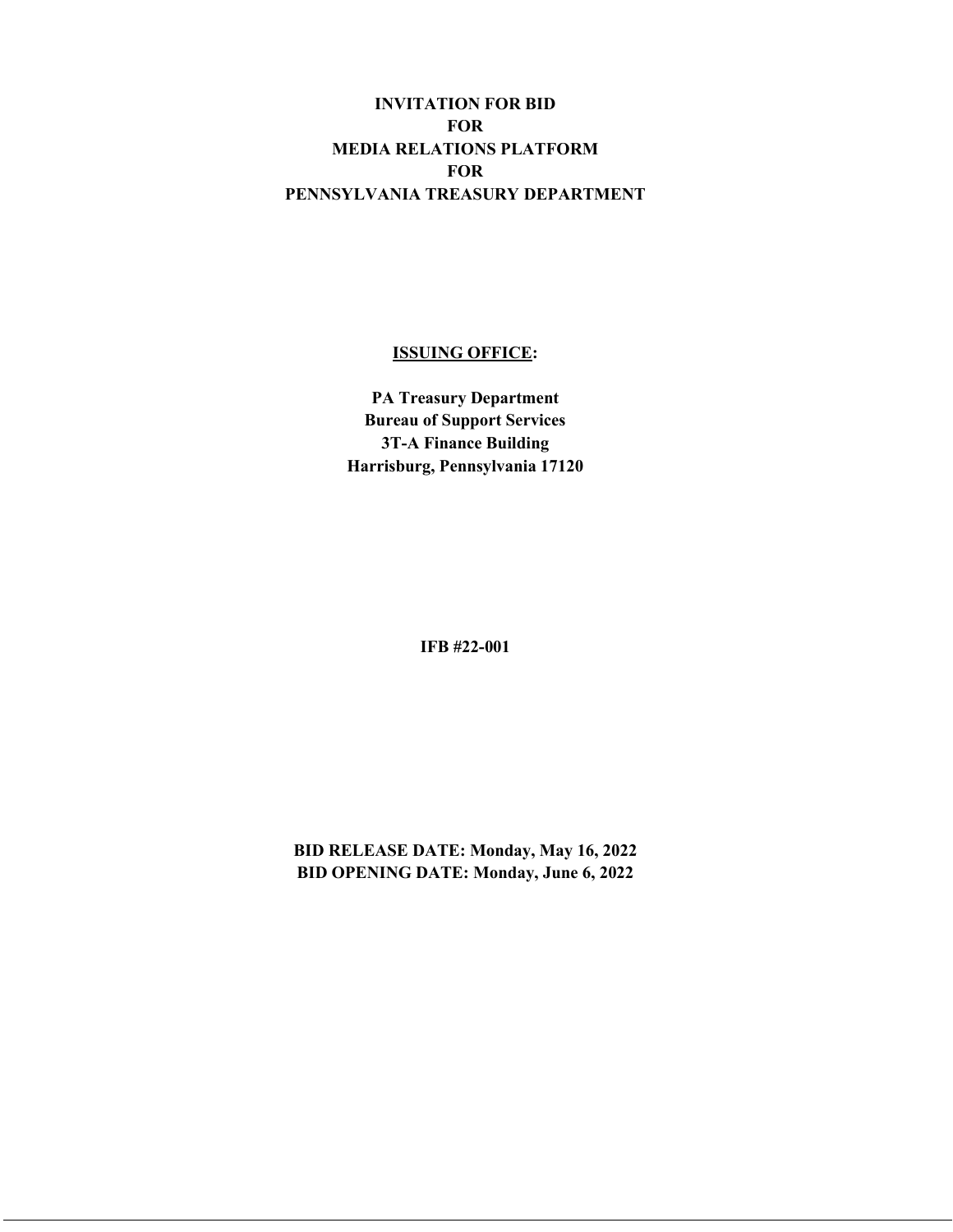## **INVITATION FOR BID FOR MEDIA RELATIONS PLATFORM FOR PENNSYLVANIA TREASURY DEPARTMENT**

## **ISSUING OFFICE:**

**PA Treasury Department Bureau of Support Services 3T-A Finance Building Harrisburg, Pennsylvania 17120**

**IFB #22-001**

**BID RELEASE DATE: Monday, May 16, 2022 BID OPENING DATE: Monday, June 6, 2022**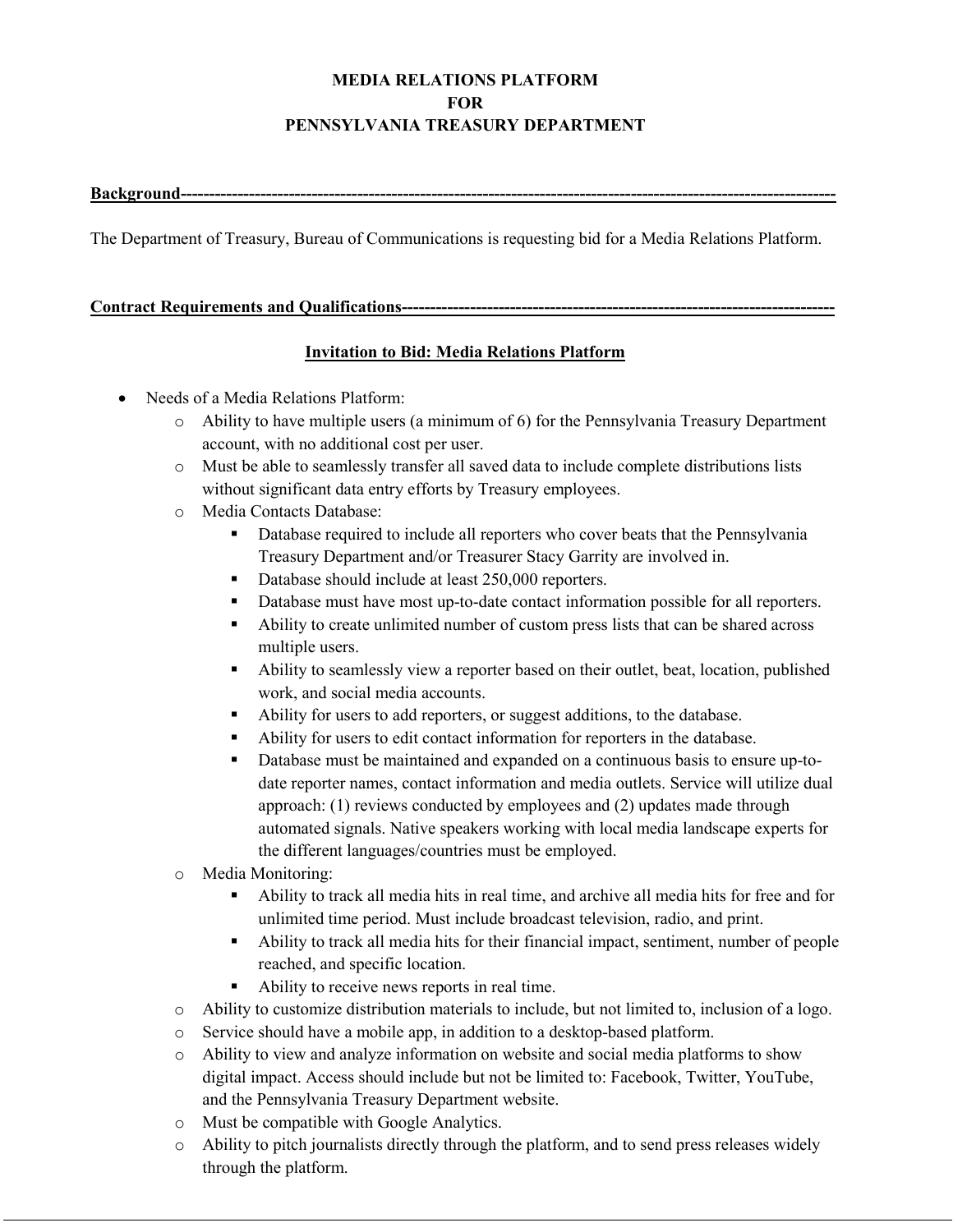# **MEDIA RELATIONS PLATFORM FOR PENNSYLVANIA TREASURY DEPARTMENT**

#### **Background---**

The Department of Treasury, Bureau of Communications is requesting bid for a Media Relations Platform.

## **Contract Requirements and Qualifications----------------------------------------------------------------------------**

## **Invitation to Bid: Media Relations Platform**

- Needs of a Media Relations Platform:
	- $\circ$  Ability to have multiple users (a minimum of 6) for the Pennsylvania Treasury Department account, with no additional cost per user.
	- o Must be able to seamlessly transfer all saved data to include complete distributions lists without significant data entry efforts by Treasury employees.
	- o Media Contacts Database:
		- Database required to include all reporters who cover beats that the Pennsylvania Treasury Department and/or Treasurer Stacy Garrity are involved in.
		- Database should include at least 250,000 reporters.
		- Database must have most up-to-date contact information possible for all reporters.
		- Ability to create unlimited number of custom press lists that can be shared across multiple users.
		- Ability to seamlessly view a reporter based on their outlet, beat, location, published work, and social media accounts.
		- Ability for users to add reporters, or suggest additions, to the database.
		- Ability for users to edit contact information for reporters in the database.
		- Database must be maintained and expanded on a continuous basis to ensure up-todate reporter names, contact information and media outlets. Service will utilize dual approach: (1) reviews conducted by employees and (2) updates made through automated signals. Native speakers working with local media landscape experts for the different languages/countries must be employed.
	- o Media Monitoring:
		- Ability to track all media hits in real time, and archive all media hits for free and for unlimited time period. Must include broadcast television, radio, and print.
		- Ability to track all media hits for their financial impact, sentiment, number of people reached, and specific location.
		- Ability to receive news reports in real time.
	- o Ability to customize distribution materials to include, but not limited to, inclusion of a logo.
	- o Service should have a mobile app, in addition to a desktop-based platform.
	- o Ability to view and analyze information on website and social media platforms to show digital impact. Access should include but not be limited to: Facebook, Twitter, YouTube, and the Pennsylvania Treasury Department website.
	- o Must be compatible with Google Analytics.
	- o Ability to pitch journalists directly through the platform, and to send press releases widely through the platform.